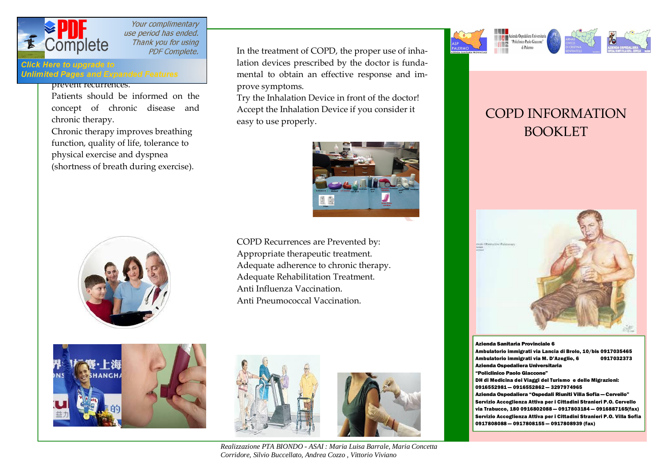

Your complimentary use period has ended. Thank you for using  $\text{Complete} \hspace{1cm}$  Thank you for using

**Click Here to upgrade to Unlimited Pages and Expanded Features** 

prevent recurrences.

Patients should be informed on the concept of chronic disease and chronic therapy.

Chronic therapy improves breathing function, quality of life, tolerance to physical exercise and dyspnea (shortness of breath during exercise).



In the treatment of COPD, the proper use of inhalation devices prescribed by the doctor is fundamental to obtain an effective response and improve symptoms.

Try the Inhalation Device in front of the doctor! Accept the Inhalation Device if you consider it easy to use properly.



COPD Recurrences are Prevented by: Appropriate therapeutic treatment. Adequate adherence to chronic therapy. Adequate Rehabilitation Treatment. Anti Influenza Vaccination. Anti Pneumococcal Vaccination.







*Realizzazione PTA BIONDO - ASAI : Maria Luisa Barrale, Maria Concetta Corridore, Silvio Buccellato, Andrea Cozzo , Vittorio Viviano* 



# COPD INFORMATION BOOKLET



Azienda Sanitaria Provinciale 6 Ambulatorio immigrati via Lancia di Brolo, 10/bis 0917035465 Ambulatorio immigrati via M. D'Azeglio, 6 0917032373 Azienda Ospedaliera Universitaria "Policlinico Paolo Giaccone" DH di Medicina dei Viaggi del Turismo e delle Migrazioni: 0916552981 — 0916552862 — 3297974965 Azienda Ospedaliera "Ospedali Riuniti Villa Sofia — Cervello" Servizio Accoglienza Attiva per i Cittadini Stranieri P.O. Cervello via Trabucco, 180 0916802088 — 0917803184 — 0916887165(fax) Servizio Accoglienza Attiva per i Cittadini Stranieri P.O. Villa Sofia 0917808088 — 0917808155 — 0917808939 (fax)